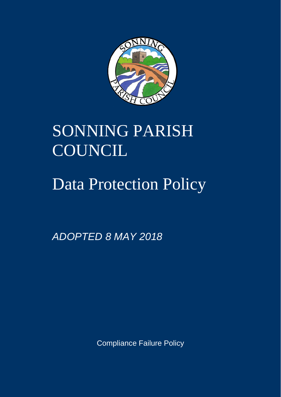

# SONNING PARISH COUNCIL

## Data Protection Policy

*ADOPTED 8 MAY 2018*

Compliance Failure Policy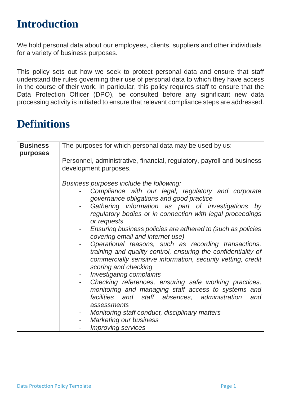### **Introduction**

We hold personal data about our employees, clients, suppliers and other individuals for a variety of business purposes.

This policy sets out how we seek to protect personal data and ensure that staff understand the rules governing their use of personal data to which they have access in the course of their work. In particular, this policy requires staff to ensure that the Data Protection Officer (DPO), be consulted before any significant new data processing activity is initiated to ensure that relevant compliance steps are addressed.

### **Definitions**

| <b>Business</b><br>purposes | The purposes for which personal data may be used by us:                                                                                                                                                       |  |  |
|-----------------------------|---------------------------------------------------------------------------------------------------------------------------------------------------------------------------------------------------------------|--|--|
|                             | Personnel, administrative, financial, regulatory, payroll and business                                                                                                                                        |  |  |
|                             | development purposes.                                                                                                                                                                                         |  |  |
|                             | Business purposes include the following:                                                                                                                                                                      |  |  |
|                             | Compliance with our legal, regulatory and corporate<br>governance obligations and good practice                                                                                                               |  |  |
|                             | Gathering information as part of investigations by<br>regulatory bodies or in connection with legal proceedings<br>or requests                                                                                |  |  |
|                             | Ensuring business policies are adhered to (such as policies<br>$\sim$ 100 $\mu$<br>covering email and internet use)                                                                                           |  |  |
|                             | Operational reasons, such as recording transactions,<br>training and quality control, ensuring the confidentiality of<br>commercially sensitive information, security vetting, credit<br>scoring and checking |  |  |
|                             | - Investigating complaints                                                                                                                                                                                    |  |  |
|                             | - Checking references, ensuring safe working practices,                                                                                                                                                       |  |  |
|                             | monitoring and managing staff access to systems and                                                                                                                                                           |  |  |
|                             | facilities and staff absences, administration<br>and                                                                                                                                                          |  |  |
|                             | assessments                                                                                                                                                                                                   |  |  |
|                             | Monitoring staff conduct, disciplinary matters                                                                                                                                                                |  |  |
|                             | <b>Marketing our business</b>                                                                                                                                                                                 |  |  |
|                             | <b>Improving services</b>                                                                                                                                                                                     |  |  |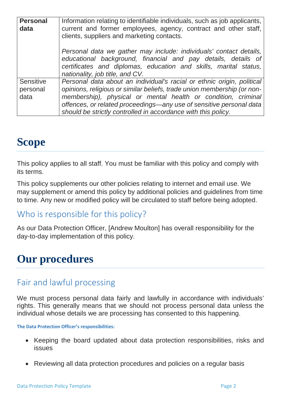| <b>Personal</b><br>data       | Information relating to identifiable individuals, such as job applicants,<br>current and former employees, agency, contract and other staff,<br>clients, suppliers and marketing contacts.                                                                                                                                                                 |  |
|-------------------------------|------------------------------------------------------------------------------------------------------------------------------------------------------------------------------------------------------------------------------------------------------------------------------------------------------------------------------------------------------------|--|
|                               | Personal data we gather may include: individuals' contact details,<br>educational background, financial and pay details, details of<br>certificates and diplomas, education and skills, marital status,<br>nationality, job title, and CV.                                                                                                                 |  |
| Sensitive<br>personal<br>data | Personal data about an individual's racial or ethnic origin, political<br>opinions, religious or similar beliefs, trade union membership (or non-<br>membership), physical or mental health or condition, criminal<br>offences, or related proceedings—any use of sensitive personal data<br>should be strictly controlled in accordance with this policy. |  |

### **Scope**

This policy applies to all staff. You must be familiar with this policy and comply with its terms.

This policy supplements our other policies relating to internet and email use. We may supplement or amend this policy by additional policies and guidelines from time to time. Any new or modified policy will be circulated to staff before being adopted.

#### Who is responsible for this policy?

As our Data Protection Officer, [Andrew Moulton] has overall responsibility for the day-to-day implementation of this policy.

### **Our procedures**

#### Fair and lawful processing

We must process personal data fairly and lawfully in accordance with individuals' rights. This generally means that we should not process personal data unless the individual whose details we are processing has consented to this happening.

**The Data Protection Officer's responsibilities:**

- Keeping the board updated about data protection responsibilities, risks and issues
- Reviewing all data protection procedures and policies on a regular basis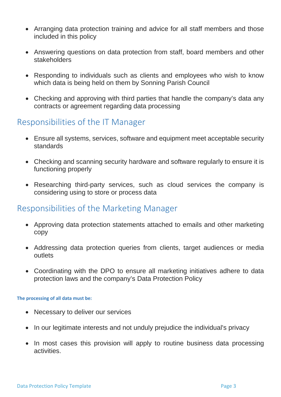- Arranging data protection training and advice for all staff members and those included in this policy
- Answering questions on data protection from staff, board members and other stakeholders
- Responding to individuals such as clients and employees who wish to know which data is being held on them by Sonning Parish Council
- Checking and approving with third parties that handle the company's data any contracts or agreement regarding data processing

#### Responsibilities of the IT Manager

- Ensure all systems, services, software and equipment meet acceptable security standards
- Checking and scanning security hardware and software regularly to ensure it is functioning properly
- Researching third-party services, such as cloud services the company is considering using to store or process data

#### Responsibilities of the Marketing Manager

- Approving data protection statements attached to emails and other marketing copy
- Addressing data protection queries from clients, target audiences or media outlets
- Coordinating with the DPO to ensure all marketing initiatives adhere to data protection laws and the company's Data Protection Policy

#### **The processing of all data must be:**

- Necessary to deliver our services
- In our legitimate interests and not unduly prejudice the individual's privacy
- In most cases this provision will apply to routine business data processing activities.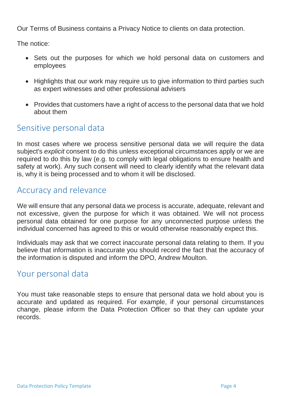Our Terms of Business contains a Privacy Notice to clients on data protection.

The notice:

- Sets out the purposes for which we hold personal data on customers and employees
- Highlights that our work may require us to give information to third parties such as expert witnesses and other professional advisers
- Provides that customers have a right of access to the personal data that we hold about them

### Sensitive personal data

In most cases where we process sensitive personal data we will require the data subject's *explicit* consent to do this unless exceptional circumstances apply or we are required to do this by law (e.g. to comply with legal obligations to ensure health and safety at work). Any such consent will need to clearly identify what the relevant data is, why it is being processed and to whom it will be disclosed.

#### Accuracy and relevance

We will ensure that any personal data we process is accurate, adequate, relevant and not excessive, given the purpose for which it was obtained. We will not process personal data obtained for one purpose for any unconnected purpose unless the individual concerned has agreed to this or would otherwise reasonably expect this.

Individuals may ask that we correct inaccurate personal data relating to them. If you believe that information is inaccurate you should record the fact that the accuracy of the information is disputed and inform the DPO, Andrew Moulton.

#### Your personal data

You must take reasonable steps to ensure that personal data we hold about you is accurate and updated as required. For example, if your personal circumstances change, please inform the Data Protection Officer so that they can update your records.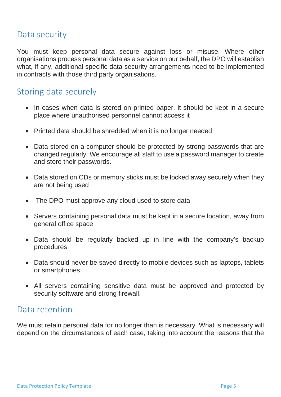#### Data security

You must keep personal data secure against loss or misuse. Where other organisations process personal data as a service on our behalf, the DPO will establish what, if any, additional specific data security arrangements need to be implemented in contracts with those third party organisations.

#### Storing data securely

- In cases when data is stored on printed paper, it should be kept in a secure place where unauthorised personnel cannot access it
- Printed data should be shredded when it is no longer needed
- Data stored on a computer should be protected by strong passwords that are changed regularly. We encourage all staff to use a [password manager](http://cybersecurityzen.com/cybersecurity/keep-data-safe-rise-password-managers-1654/) to create and store their passwords.
- Data stored on CDs or memory sticks must be locked away securely when they are not being used
- The DPO must approve any cloud used to store data
- Servers containing personal data must be kept in a secure location, away from general office space
- Data should be regularly backed up in line with the company's backup procedures
- Data should never be saved directly to mobile devices such as laptops, tablets or smartphones
- All servers containing sensitive data must be approved and protected by security software and strong firewall.

#### Data retention

We must retain personal data for no longer than is necessary. What is necessary will depend on the circumstances of each case, taking into account the reasons that the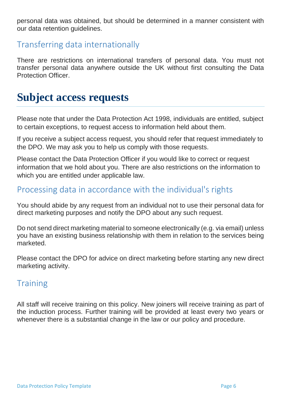personal data was obtained, but should be determined in a manner consistent with our data retention guidelines.

#### Transferring data internationally

There are restrictions on international transfers of personal data. You must not transfer personal data anywhere outside the UK without first consulting the Data Protection Officer.

### **Subject access requests**

Please note that under the Data Protection Act 1998, individuals are entitled, subject to certain exceptions, to request access to information held about them.

If you receive a subject access request, you should refer that request immediately to the DPO. We may ask you to help us comply with those requests.

Please contact the Data Protection Officer if you would like to correct or request information that we hold about you. There are also restrictions on the information to which you are entitled under applicable law.

#### Processing data in accordance with the individual's rights

You should abide by any request from an individual not to use their personal data for direct marketing purposes and notify the DPO about any such request.

Do not send direct marketing material to someone electronically (e.g. via email) unless you have an existing business relationship with them in relation to the services being marketed.

Please contact the DPO for advice on direct marketing before starting any new direct marketing activity.

#### **Training**

All staff will receive training on this policy. New joiners will receive training as part of the induction process. Further training will be provided at least every two years or whenever there is a substantial change in the law or our policy and procedure.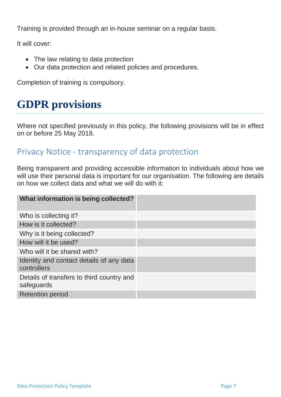Training is provided through an in-house seminar on a regular basis.

It will cover:

- The law relating to data protection
- Our data protection and related policies and procedures.

Completion of training is compulsory.

## **GDPR provisions**

Where not specified previously in this policy, the following provisions will be in effect on or before 25 May 2018.

#### Privacy Notice - transparency of data protection

Being transparent and providing accessible information to individuals about how we will use their personal data is important for our organisation. The following are details on how we collect data and what we will do with it:

| What information is being collected?                    |  |
|---------------------------------------------------------|--|
| Who is collecting it?                                   |  |
| How is it collected?                                    |  |
| Why is it being collected?                              |  |
| How will it be used?                                    |  |
| Who will it be shared with?                             |  |
| Identity and contact details of any data<br>controllers |  |
| Details of transfers to third country and<br>safeguards |  |
| <b>Retention period</b>                                 |  |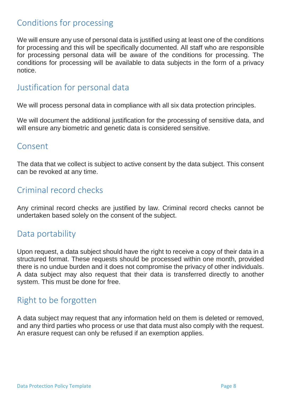#### Conditions for processing

We will ensure any use of personal data is justified using at least one of the conditions for processing and this will be specifically documented. All staff who are responsible for processing personal data will be aware of the conditions for processing. The conditions for processing will be available to data subjects in the form of a privacy notice.

#### Justification for personal data

We will process personal data in compliance with all six data protection principles.

We will document the additional justification for the processing of sensitive data, and will ensure any biometric and genetic data is considered sensitive.

#### Consent

The data that we collect is subject to active consent by the data subject. This consent can be revoked at any time.

### Criminal record checks

Any criminal record checks are justified by law. Criminal record checks cannot be undertaken based solely on the consent of the subject.

#### Data portability

Upon request, a data subject should have the right to receive a copy of their data in a structured format. These requests should be processed within one month, provided there is no undue burden and it does not compromise the privacy of other individuals. A data subject may also request that their data is transferred directly to another system. This must be done for free.

### Right to be forgotten

A data subject may request that any information held on them is deleted or removed, and any third parties who process or use that data must also comply with the request. An erasure request can only be refused if an exemption applies.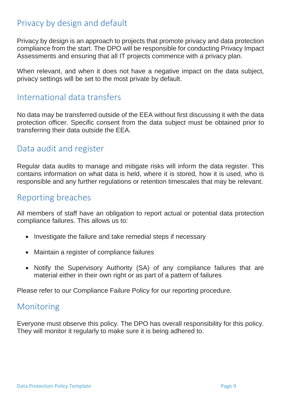### Privacy by design and default

Privacy by design is an approach to projects that promote privacy and data protection compliance from the start. The DPO will be responsible for conducting Privacy Impact Assessments and ensuring that all IT projects commence with a privacy plan.

When relevant, and when it does not have a negative impact on the data subject, privacy settings will be set to the most private by default.

#### International data transfers

No data may be transferred outside of the EEA without first discussing it with the data protection officer. Specific consent from the data subject must be obtained prior to transferring their data outside the EEA.

#### Data audit and register

Regular data audits to manage and mitigate risks will inform the data register. This contains information on what data is held, where it is stored, how it is used, who is responsible and any further regulations or retention timescales that may be relevant.

#### Reporting breaches

All members of staff have an obligation to report actual or potential data protection compliance failures. This allows us to:

- Investigate the failure and take remedial steps if necessary
- Maintain a register of compliance failures
- Notify the Supervisory Authority (SA) of any compliance failures that are material either in their own right or as part of a pattern of failures

Please refer to our Compliance Failure Policy for our reporting procedure.

#### Monitoring

Everyone must observe this policy. The DPO has overall responsibility for this policy. They will monitor it regularly to make sure it is being adhered to.